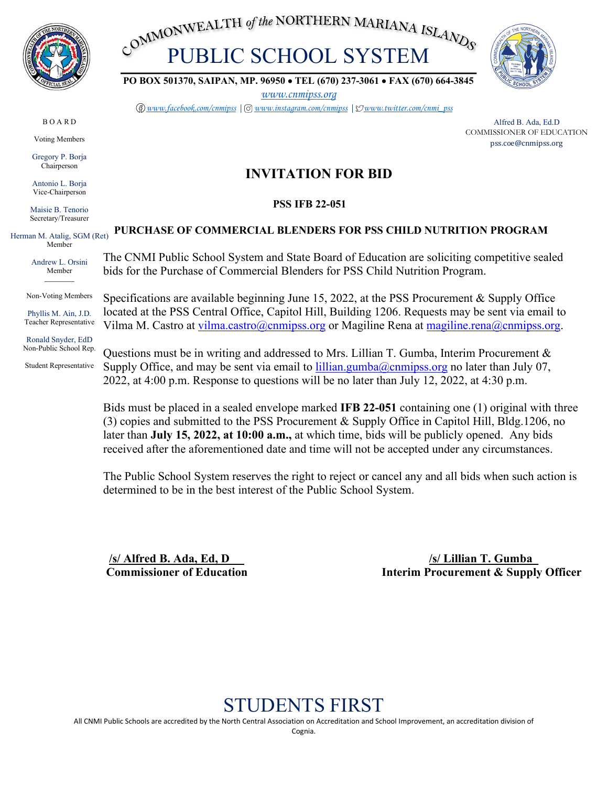

COMMONWEALTH of the NORTHERN MARIANA ISLANDS



**PO BOX 501370, SAIPAN, MP. 96950** • **TEL (670) 237-3061** • **FAX (670) 664-3845**

*[www.cnmipss.org](http://www.cnmipss.org/)*

*[www.facebook.com/cnmipss](http://www.facebook.com/cnmipss) | [www.instagram.com/cnmipss](http://www.instagram.com/cnmipss) | [www.twitter.com/cnmi\\_pss](http://www.twitter.com/cnmi_pss)*

Alfred B. Ada, Ed.D COMMISSIONER OF EDUCATION pss.coe@cnmipss.org

# **INVITATION FOR BID**

## **PSS IFB 22-051**

### **PURCHASE OF COMMERCIAL BLENDERS FOR PSS CHILD NUTRITION PROGRAM**

The CNMI Public School System and State Board of Education are soliciting competitive sealed bids for the Purchase of Commercial Blenders for PSS Child Nutrition Program.

Specifications are available beginning June 15, 2022, at the PSS Procurement & Supply Office located at the PSS Central Office, Capitol Hill, Building 1206. Requests may be sent via email to Vilma M. Castro at [vilma.castro@cnmipss.org](mailto:vilma.castro@cnmipss.org) or Magiline Rena at [magiline.rena@cnmipss.org.](mailto:magiline.rena@cnmipss.org)

Questions must be in writing and addressed to Mrs. Lillian T. Gumba, Interim Procurement  $\&$ Supply Office, and may be sent via email to  $\frac{1}{1}$  illian.gumba $\omega$ cnmipss.org no later than July 07, 2022, at 4:00 p.m. Response to questions will be no later than July 12, 2022, at 4:30 p.m.

Bids must be placed in a sealed envelope marked **IFB 22-051** containing one (1) original with three (3) copies and submitted to the PSS Procurement & Supply Office in Capitol Hill, Bldg.1206, no later than **July 15, 2022, at 10:00 a.m.,** at which time, bids will be publicly opened. Any bids received after the aforementioned date and time will not be accepted under any circumstances.

The Public School System reserves the right to reject or cancel any and all bids when such action is determined to be in the best interest of the Public School System.

 **/s/ Alfred B. Ada, Ed, D /s/ Lillian T. Gumba\_ Commissioner of Education** Interim Procurement & Supply Officer

# STUDENTS FIRST

All CNMI Public Schools are accredited by the North Central Association on Accreditation and School Improvement, an accreditation division of

B O A R D

Voting Members

Gregory P. Borja Chairperson

Antonio L. Borja Vice-Chairperson

Maisie B. Tenorio Secretary/Treasurer

Herman M. Atalig, SGM (Ret) Member

> Andrew L. Orsini Member *\_\_\_\_\_\_\_\_*

Non-Voting Members

Phyllis M. Ain, J.D. Teacher Representative

Ronald Snyder, EdD Non-Public School Rep.

Student Representative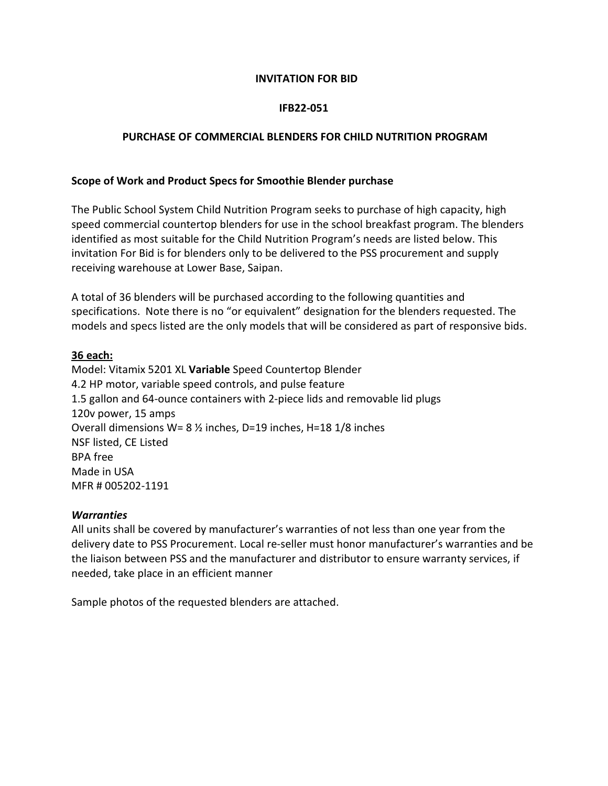### **INVITATION FOR BID**

### **IFB22-051**

#### **PURCHASE OF COMMERCIAL BLENDERS FOR CHILD NUTRITION PROGRAM**

#### **Scope of Work and Product Specs for Smoothie Blender purchase**

The Public School System Child Nutrition Program seeks to purchase of high capacity, high speed commercial countertop blenders for use in the school breakfast program. The blenders identified as most suitable for the Child Nutrition Program's needs are listed below. This invitation For Bid is for blenders only to be delivered to the PSS procurement and supply receiving warehouse at Lower Base, Saipan.

A total of 36 blenders will be purchased according to the following quantities and specifications. Note there is no "or equivalent" designation for the blenders requested. The models and specs listed are the only models that will be considered as part of responsive bids.

#### **36 each:**

Model: Vitamix 5201 XL **Variable** Speed Countertop Blender 4.2 HP motor, variable speed controls, and pulse feature 1.5 gallon and 64-ounce containers with 2-piece lids and removable lid plugs 120v power, 15 amps Overall dimensions W= 8 ½ inches, D=19 inches, H=18 1/8 inches NSF listed, CE Listed BPA free Made in USA MFR # 005202-1191

#### *Warranties*

All units shall be covered by manufacturer's warranties of not less than one year from the delivery date to PSS Procurement. Local re-seller must honor manufacturer's warranties and be the liaison between PSS and the manufacturer and distributor to ensure warranty services, if needed, take place in an efficient manner

Sample photos of the requested blenders are attached.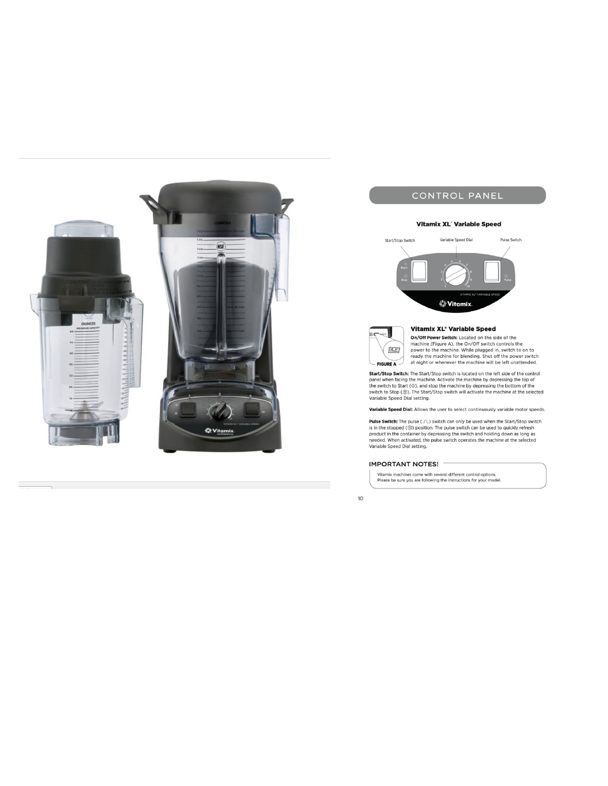

## CONTROL PANEL

#### Vitamix XL<sup>'</sup> Variable Speed





#### Vitamix XL<sup>\*</sup> Variable Speed

**ONOTE THE SET CONSUMPLE THE CONSUMPLE OF A CONSUMPLE TO A CONSUMPLE TO THE PROPERTIES TO THE PROPERTIES (SUPPREMENT CONSUMPLE TO THE PROPERTIES AND THE PROPERTIES AND THE PROPERTIES AND THE PROPERTIES AND THE PROPERTIES** 

Start/Stop Switch: The Start/Stop switch is located on the left side of the control **Start Start School and Start School Start School and Start School Start School Start School Start (** $\otimes$ **)**, and stop the machine by depressing the top of<br>the switch to Start ( $\otimes$ ), and stop the machine by depressing th Variable Speed Dial setting.

Variable Speed Dial: Allows the user to select continuously variable motor speeds.

**Pulse Switch:** The pulse  $(\Box \Box)$  switch can only be used when the Start/Stop switch is in the stopped  $(\textcircled{})$  position. The pulse switch can be used to quickly refresh product in the container by depressing the switch a

#### **IMPORTANT NOTES!**

Vitamix machines come with several different control options.<br>Please be sure you are following the instructions for your model.

 $10$